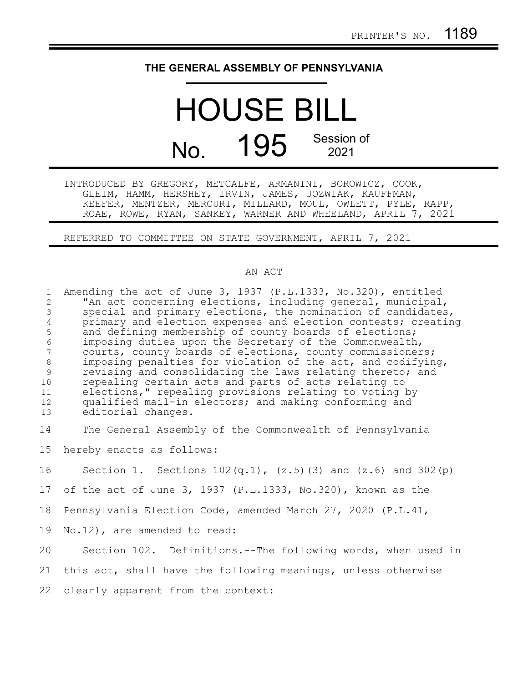## **THE GENERAL ASSEMBLY OF PENNSYLVANIA**

HOUSE BILL No. 195 Session of 2021

INTRODUCED BY GREGORY, METCALFE, ARMANINI, BOROWICZ, COOK, GLEIM, HAMM, HERSHEY, IRVIN, JAMES, JOZWIAK, KAUFFMAN, KEEFER, MENTZER, MERCURI, MILLARD, MOUL, OWLETT, PYLE, RAPP, ROAE, ROWE, RYAN, SANKEY, WARNER AND WHEELAND, APRIL 7, 2021

REFERRED TO COMMITTEE ON STATE GOVERNMENT, APRIL 7, 2021

## AN ACT

Amending the act of June 3, 1937 (P.L.1333, No.320), entitled "An act concerning elections, including general, municipal, special and primary elections, the nomination of candidates, primary and election expenses and election contests; creating and defining membership of county boards of elections; imposing duties upon the Secretary of the Commonwealth, courts, county boards of elections, county commissioners; imposing penalties for violation of the act, and codifying, revising and consolidating the laws relating thereto; and repealing certain acts and parts of acts relating to elections," repealing provisions relating to voting by qualified mail-in electors; and making conforming and editorial changes. The General Assembly of the Commonwealth of Pennsylvania hereby enacts as follows: Section 1. Sections  $102(q.1)$ ,  $(z.5)(3)$  and  $(z.6)$  and  $302(p)$ of the act of June 3, 1937 (P.L.1333, No.320), known as the Pennsylvania Election Code, amended March 27, 2020 (P.L.41, No.12), are amended to read: Section 102. Definitions.--The following words, when used in this act, shall have the following meanings, unless otherwise clearly apparent from the context: 1 2 3 4 5 6 7 8 9 10 11 12 13 14 15 16 17 18 19 20 21 22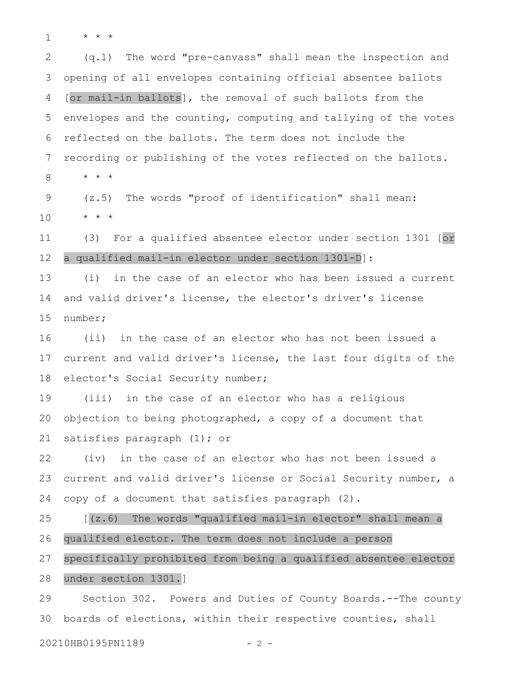\* \* \* 1

(q.1) The word "pre-canvass" shall mean the inspection and opening of all envelopes containing official absentee ballots [or mail-in ballots], the removal of such ballots from the envelopes and the counting, computing and tallying of the votes reflected on the ballots. The term does not include the recording or publishing of the votes reflected on the ballots. \* \* \* 2 3 4 5 6 7 8

(z.5) The words "proof of identification" shall mean: \* \* \* 9 10

(3) For a qualified absentee elector under section 1301 [or a qualified mail-in elector under section 1301-D]: 11 12

(i) in the case of an elector who has been issued a current and valid driver's license, the elector's driver's license number; 13 14 15

(ii) in the case of an elector who has not been issued a current and valid driver's license, the last four digits of the elector's Social Security number; 16 17 18

(iii) in the case of an elector who has a religious objection to being photographed, a copy of a document that satisfies paragraph (1); or 19 20 21

(iv) in the case of an elector who has not been issued a current and valid driver's license or Social Security number, a copy of a document that satisfies paragraph (2). 22 23 24

[(z.6) The words "qualified mail-in elector" shall mean a qualified elector. The term does not include a person 25 26

specifically prohibited from being a qualified absentee elector 27

under section 1301.] 28

Section 302. Powers and Duties of County Boards.--The county boards of elections, within their respective counties, shall 29 30

20210HB0195PN1189 - 2 -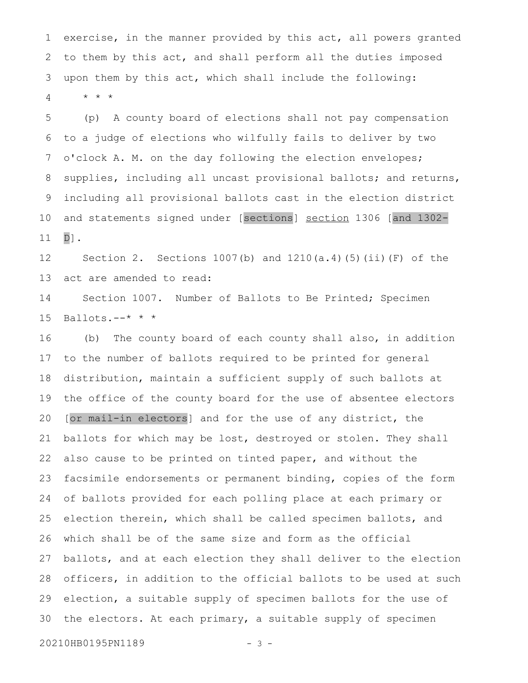exercise, in the manner provided by this act, all powers granted to them by this act, and shall perform all the duties imposed upon them by this act, which shall include the following:  $\star$   $\hspace{0.1cm} \star$   $\hspace{0.1cm} \star$ 1 2 3 4

(p) A county board of elections shall not pay compensation to a judge of elections who wilfully fails to deliver by two o'clock A. M. on the day following the election envelopes; supplies, including all uncast provisional ballots; and returns, including all provisional ballots cast in the election district and statements signed under [sections] section 1306 [and 1302- D]. 5 6 7 8 9 10 11

Section 2. Sections 1007(b) and 1210(a.4)(5)(ii)(F) of the act are amended to read: 12 13

Section 1007. Number of Ballots to Be Printed; Specimen Ballots.--\* \* \* 14 15

(b) The county board of each county shall also, in addition to the number of ballots required to be printed for general distribution, maintain a sufficient supply of such ballots at the office of the county board for the use of absentee electors [or mail-in electors] and for the use of any district, the ballots for which may be lost, destroyed or stolen. They shall also cause to be printed on tinted paper, and without the facsimile endorsements or permanent binding, copies of the form of ballots provided for each polling place at each primary or election therein, which shall be called specimen ballots, and which shall be of the same size and form as the official ballots, and at each election they shall deliver to the election officers, in addition to the official ballots to be used at such election, a suitable supply of specimen ballots for the use of the electors. At each primary, a suitable supply of specimen 16 17 18 19 20 21 22 23 24 25 26 27 28 29 30

20210HB0195PN1189 - 3 -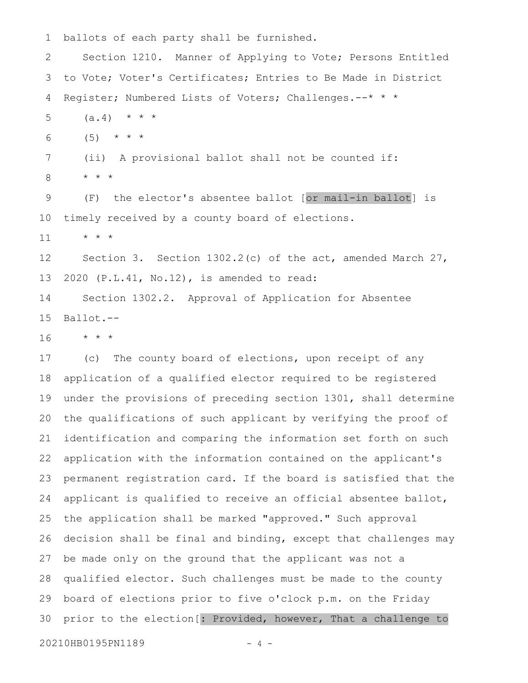ballots of each party shall be furnished. 1

Section 1210. Manner of Applying to Vote; Persons Entitled to Vote; Voter's Certificates; Entries to Be Made in District Register; Numbered Lists of Voters; Challenges.--\* \* \*  $(a.4)$  \* \* \*  $(5)$  \* \* \* (ii) A provisional ballot shall not be counted if: \* \* \* (F) the elector's absentee ballot [or mail-in ballot] is timely received by a county board of elections. \* \* \* Section 3. Section 1302.2(c) of the act, amended March 27, 2020 (P.L.41, No.12), is amended to read: Section 1302.2. Approval of Application for Absentee 2 3 4 5 6 7 8 9 10 11 12 13 14

Ballot.-- 15

\* \* \* 16

(c) The county board of elections, upon receipt of any application of a qualified elector required to be registered under the provisions of preceding section 1301, shall determine the qualifications of such applicant by verifying the proof of identification and comparing the information set forth on such application with the information contained on the applicant's permanent registration card. If the board is satisfied that the applicant is qualified to receive an official absentee ballot, the application shall be marked "approved." Such approval decision shall be final and binding, except that challenges may be made only on the ground that the applicant was not a qualified elector. Such challenges must be made to the county board of elections prior to five o'clock p.m. on the Friday prior to the election[: Provided, however, That a challenge to 17 18 19 20 21 22 23 24 25 26 27 28 29 30

20210HB0195PN1189 - 4 -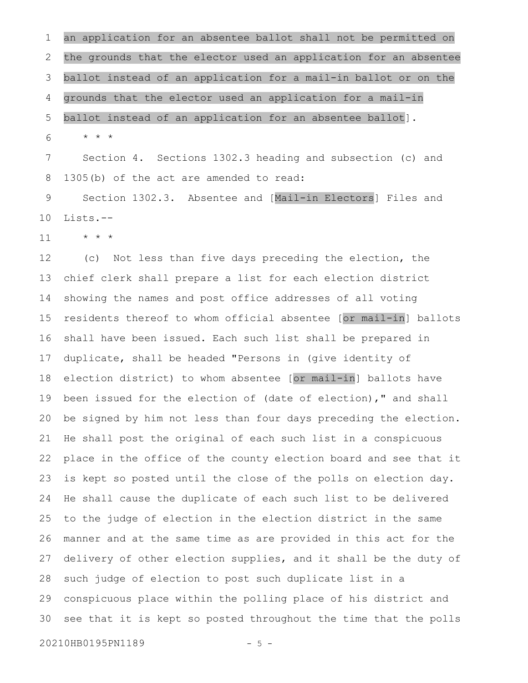an application for an absentee ballot shall not be permitted on the grounds that the elector used an application for an absentee ballot instead of an application for a mail-in ballot or on the grounds that the elector used an application for a mail-in ballot instead of an application for an absentee ballot]. 1 2 3 4 5

\* \* \* 6

Section 4. Sections 1302.3 heading and subsection (c) and 1305(b) of the act are amended to read: 7 8

Section 1302.3. Absentee and [Mail-in Electors] Files and Lists.-- 9 10

\* \* \* 11

(c) Not less than five days preceding the election, the chief clerk shall prepare a list for each election district showing the names and post office addresses of all voting residents thereof to whom official absentee [or mail-in] ballots shall have been issued. Each such list shall be prepared in duplicate, shall be headed "Persons in (give identity of election district) to whom absentee [or mail-in] ballots have been issued for the election of (date of election)," and shall be signed by him not less than four days preceding the election. He shall post the original of each such list in a conspicuous place in the office of the county election board and see that it is kept so posted until the close of the polls on election day. He shall cause the duplicate of each such list to be delivered to the judge of election in the election district in the same manner and at the same time as are provided in this act for the delivery of other election supplies, and it shall be the duty of such judge of election to post such duplicate list in a conspicuous place within the polling place of his district and see that it is kept so posted throughout the time that the polls 12 13 14 15 16 17 18 19 20 21 22 23 24 25 26 27 28 29 30

20210HB0195PN1189 - 5 -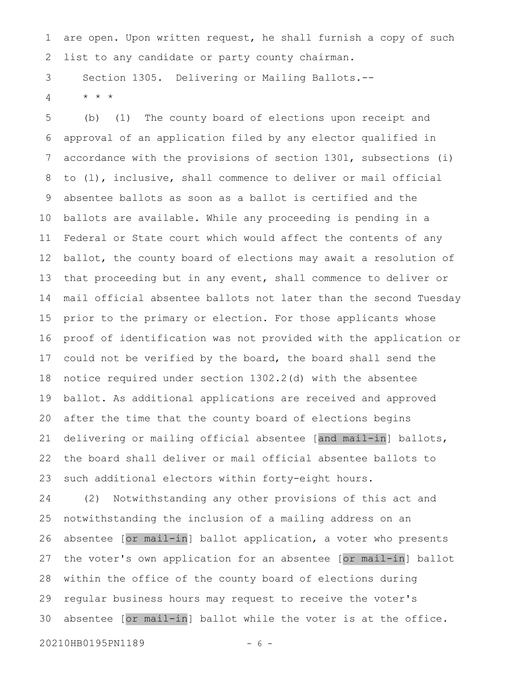are open. Upon written request, he shall furnish a copy of such list to any candidate or party county chairman. 1 2

Section 1305. Delivering or Mailing Ballots.-- 3

\* \* \* 4

(b) (1) The county board of elections upon receipt and approval of an application filed by any elector qualified in accordance with the provisions of section 1301, subsections (i) to (l), inclusive, shall commence to deliver or mail official absentee ballots as soon as a ballot is certified and the ballots are available. While any proceeding is pending in a Federal or State court which would affect the contents of any ballot, the county board of elections may await a resolution of that proceeding but in any event, shall commence to deliver or mail official absentee ballots not later than the second Tuesday prior to the primary or election. For those applicants whose proof of identification was not provided with the application or could not be verified by the board, the board shall send the notice required under section 1302.2(d) with the absentee ballot. As additional applications are received and approved after the time that the county board of elections begins delivering or mailing official absentee [and mail-in] ballots, the board shall deliver or mail official absentee ballots to such additional electors within forty-eight hours. 5 6 7 8 9 10 11 12 13 14 15 16 17 18 19 20 21 22 23

(2) Notwithstanding any other provisions of this act and notwithstanding the inclusion of a mailing address on an absentee [or mail-in] ballot application, a voter who presents the voter's own application for an absentee [or mail-in] ballot within the office of the county board of elections during regular business hours may request to receive the voter's absentee [or mail-in] ballot while the voter is at the office. 24 25 26 27 28 29 30

20210HB0195PN1189 - 6 -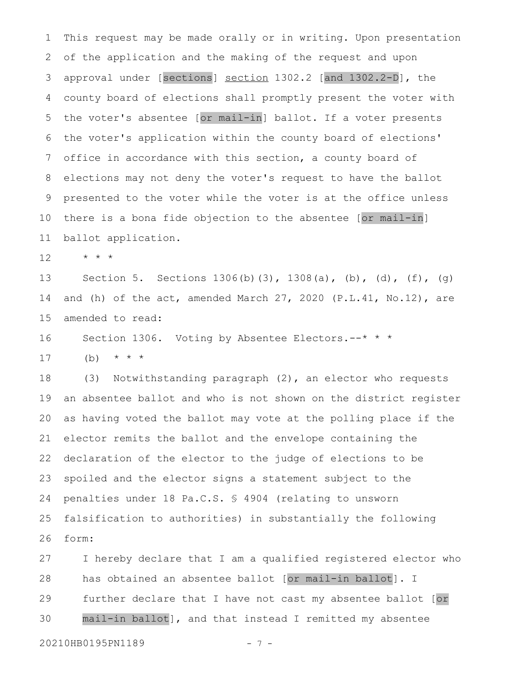This request may be made orally or in writing. Upon presentation of the application and the making of the request and upon approval under [sections] section 1302.2 [and 1302.2-D], the county board of elections shall promptly present the voter with the voter's absentee [or mail-in] ballot. If a voter presents the voter's application within the county board of elections' office in accordance with this section, a county board of elections may not deny the voter's request to have the ballot presented to the voter while the voter is at the office unless there is a bona fide objection to the absentee [or mail-in] ballot application. 1 2 3 4 5 6 7 8 9 10 11

\* \* \* 12

Section 5. Sections  $1306(b)(3)$ ,  $1308(a)$ ,  $(b)$ ,  $(d)$ ,  $(f)$ ,  $(g)$ and (h) of the act, amended March 27, 2020 (P.L.41, No.12), are amended to read: 13 14 15

Section 1306. Voting by Absentee Electors.--\* \* \* 16

(b)  $* * * *$ 17

(3) Notwithstanding paragraph (2), an elector who requests an absentee ballot and who is not shown on the district register as having voted the ballot may vote at the polling place if the elector remits the ballot and the envelope containing the declaration of the elector to the judge of elections to be spoiled and the elector signs a statement subject to the penalties under 18 Pa.C.S. § 4904 (relating to unsworn falsification to authorities) in substantially the following form: 18 19 20 21 22 23 24 25 26

I hereby declare that I am a qualified registered elector who has obtained an absentee ballot [or mail-in ballot]. I further declare that I have not cast my absentee ballot [or mail-in ballot], and that instead I remitted my absentee 27 28 29 30

20210HB0195PN1189 - 7 -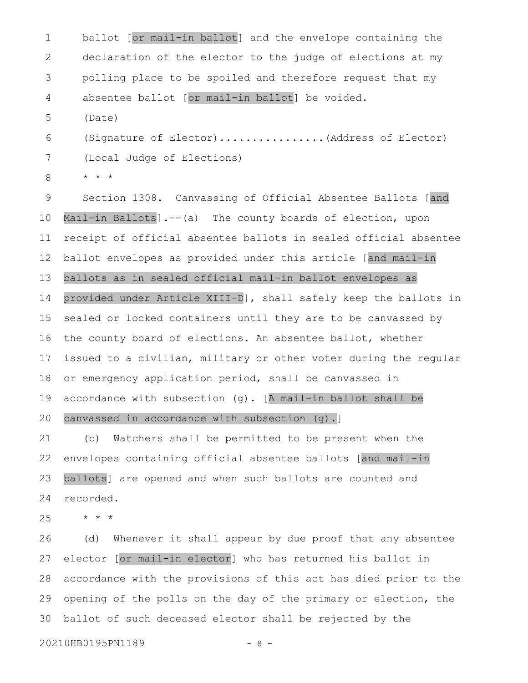ballot [or mail-in ballot] and the envelope containing the declaration of the elector to the judge of elections at my polling place to be spoiled and therefore request that my absentee ballot [or mail-in ballot] be voided. (Date) (Signature of Elector)................(Address of Elector) (Local Judge of Elections) \* \* \* Section 1308. Canvassing of Official Absentee Ballots [and Mail-in Ballots].--(a) The county boards of election, upon receipt of official absentee ballots in sealed official absentee ballot envelopes as provided under this article [and mail-in ballots as in sealed official mail-in ballot envelopes as provided under Article XIII-D], shall safely keep the ballots in sealed or locked containers until they are to be canvassed by the county board of elections. An absentee ballot, whether issued to a civilian, military or other voter during the regular or emergency application period, shall be canvassed in accordance with subsection (g). [A mail-in ballot shall be canvassed in accordance with subsection (g).] (b) Watchers shall be permitted to be present when the 1 2 3 4 5 6 7 8 9 10 11 12 13 14 15 16 17 18 19 20 21

envelopes containing official absentee ballots [and mail-in ballots] are opened and when such ballots are counted and recorded. 22 23 24

\* \* \* 25

(d) Whenever it shall appear by due proof that any absentee elector [or mail-in elector] who has returned his ballot in accordance with the provisions of this act has died prior to the opening of the polls on the day of the primary or election, the ballot of such deceased elector shall be rejected by the 26 27 28 29 30

20210HB0195PN1189 - 8 -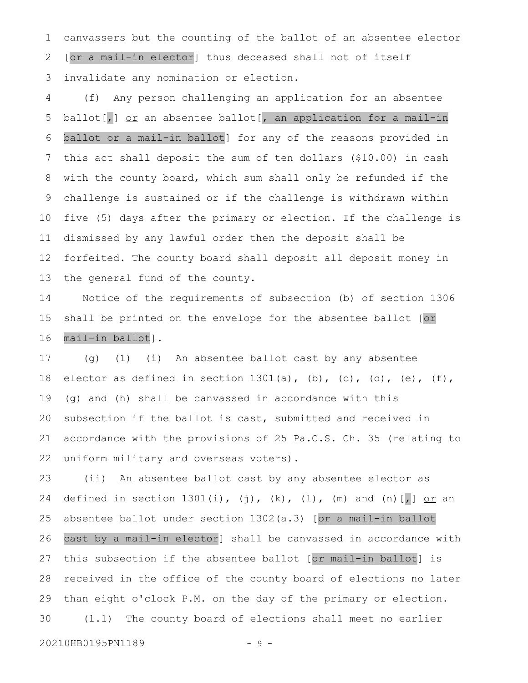canvassers but the counting of the ballot of an absentee elector [or a mail-in elector] thus deceased shall not of itself invalidate any nomination or election. 1 2 3

(f) Any person challenging an application for an absentee ballot[,]  $or$  an absentee ballot[, an application for a mail-in ballot or a mail-in ballot] for any of the reasons provided in this act shall deposit the sum of ten dollars (\$10.00) in cash with the county board, which sum shall only be refunded if the challenge is sustained or if the challenge is withdrawn within five (5) days after the primary or election. If the challenge is dismissed by any lawful order then the deposit shall be forfeited. The county board shall deposit all deposit money in the general fund of the county. 4 5 6 7 8 9 10 11 12 13

Notice of the requirements of subsection (b) of section 1306 shall be printed on the envelope for the absentee ballot [or mail-in ballot]. 14 15 16

(g) (1) (i) An absentee ballot cast by any absentee elector as defined in section  $1301(a)$ , (b), (c), (d), (e), (f), (g) and (h) shall be canvassed in accordance with this subsection if the ballot is cast, submitted and received in accordance with the provisions of 25 Pa.C.S. Ch. 35 (relating to uniform military and overseas voters). 17 18 19 20 21 22

(ii) An absentee ballot cast by any absentee elector as defined in section  $1301(i)$ , (j), (k), (l), (m) and (n)[,] or an absentee ballot under section 1302(a.3) [or a mail-in ballot cast by a mail-in elector] shall be canvassed in accordance with this subsection if the absentee ballot [or mail-in ballot] is received in the office of the county board of elections no later than eight o'clock P.M. on the day of the primary or election. (1.1) The county board of elections shall meet no earlier 23 24 25 26 27 28 29 30

20210HB0195PN1189 - 9 -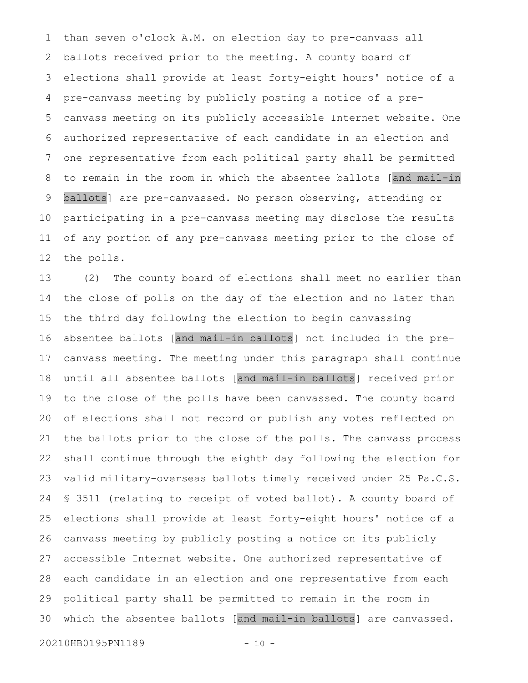than seven o'clock A.M. on election day to pre-canvass all ballots received prior to the meeting. A county board of elections shall provide at least forty-eight hours' notice of a pre-canvass meeting by publicly posting a notice of a precanvass meeting on its publicly accessible Internet website. One authorized representative of each candidate in an election and one representative from each political party shall be permitted to remain in the room in which the absentee ballots [and mail-in ballots] are pre-canvassed. No person observing, attending or participating in a pre-canvass meeting may disclose the results of any portion of any pre-canvass meeting prior to the close of the polls. 1 2 3 4 5 6 7 8 9 10 11 12

(2) The county board of elections shall meet no earlier than the close of polls on the day of the election and no later than the third day following the election to begin canvassing absentee ballots [and mail-in ballots] not included in the precanvass meeting. The meeting under this paragraph shall continue until all absentee ballots [and mail-in ballots] received prior to the close of the polls have been canvassed. The county board of elections shall not record or publish any votes reflected on the ballots prior to the close of the polls. The canvass process shall continue through the eighth day following the election for valid military-overseas ballots timely received under 25 Pa.C.S. § 3511 (relating to receipt of voted ballot). A county board of elections shall provide at least forty-eight hours' notice of a canvass meeting by publicly posting a notice on its publicly accessible Internet website. One authorized representative of each candidate in an election and one representative from each political party shall be permitted to remain in the room in which the absentee ballots [and mail-in ballots] are canvassed. 13 14 15 16 17 18 19 20 21 22 23 24 25 26 27 28 29 30

20210HB0195PN1189 - 10 -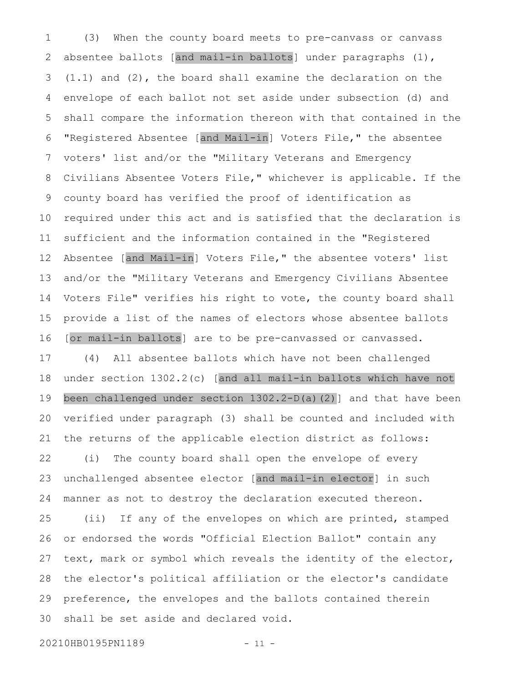(3) When the county board meets to pre-canvass or canvass absentee ballots [and mail-in ballots] under paragraphs (1),  $(1.1)$  and  $(2)$ , the board shall examine the declaration on the envelope of each ballot not set aside under subsection (d) and shall compare the information thereon with that contained in the "Registered Absentee [and Mail-in] Voters File," the absentee voters' list and/or the "Military Veterans and Emergency Civilians Absentee Voters File," whichever is applicable. If the county board has verified the proof of identification as required under this act and is satisfied that the declaration is sufficient and the information contained in the "Registered Absentee [and Mail-in] Voters File," the absentee voters' list and/or the "Military Veterans and Emergency Civilians Absentee Voters File" verifies his right to vote, the county board shall provide a list of the names of electors whose absentee ballots [or mail-in ballots] are to be pre-canvassed or canvassed. (4) All absentee ballots which have not been challenged under section 1302.2(c) [and all mail-in ballots which have not been challenged under section 1302.2-D(a)(2)] and that have been verified under paragraph (3) shall be counted and included with the returns of the applicable election district as follows: (i) The county board shall open the envelope of every unchallenged absentee elector [and mail-in elector] in such manner as not to destroy the declaration executed thereon. (ii) If any of the envelopes on which are printed, stamped or endorsed the words "Official Election Ballot" contain any text, mark or symbol which reveals the identity of the elector, the elector's political affiliation or the elector's candidate preference, the envelopes and the ballots contained therein shall be set aside and declared void. 1 2 3 4 5 6 7 8 9 10 11 12 13 14 15 16 17 18 19 20 21 22 23 24 25 26 27 28 29 30

20210HB0195PN1189 - 11 -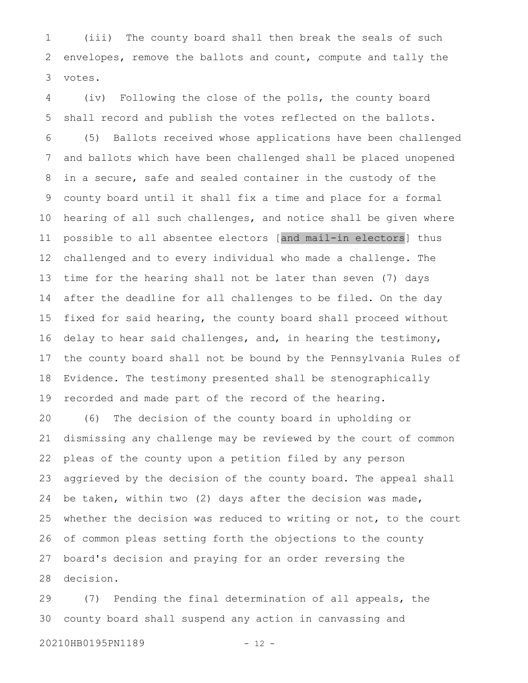(iii) The county board shall then break the seals of such envelopes, remove the ballots and count, compute and tally the votes. 1 2 3

(iv) Following the close of the polls, the county board shall record and publish the votes reflected on the ballots. (5) Ballots received whose applications have been challenged and ballots which have been challenged shall be placed unopened in a secure, safe and sealed container in the custody of the county board until it shall fix a time and place for a formal hearing of all such challenges, and notice shall be given where possible to all absentee electors [and mail-in electors] thus challenged and to every individual who made a challenge. The time for the hearing shall not be later than seven (7) days after the deadline for all challenges to be filed. On the day fixed for said hearing, the county board shall proceed without delay to hear said challenges, and, in hearing the testimony, the county board shall not be bound by the Pennsylvania Rules of Evidence. The testimony presented shall be stenographically recorded and made part of the record of the hearing. 4 5 6 7 8 9 10 11 12 13 14 15 16 17 18 19

(6) The decision of the county board in upholding or dismissing any challenge may be reviewed by the court of common pleas of the county upon a petition filed by any person aggrieved by the decision of the county board. The appeal shall be taken, within two (2) days after the decision was made, whether the decision was reduced to writing or not, to the court of common pleas setting forth the objections to the county board's decision and praying for an order reversing the decision. 20 21 22 23 24 25 26 27 28

(7) Pending the final determination of all appeals, the county board shall suspend any action in canvassing and 29 30

```
20210HB0195PN1189 - 12 -
```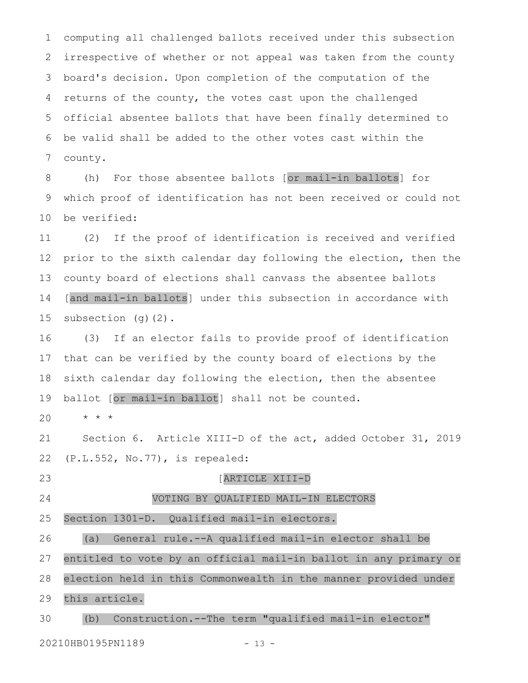computing all challenged ballots received under this subsection irrespective of whether or not appeal was taken from the county board's decision. Upon completion of the computation of the returns of the county, the votes cast upon the challenged official absentee ballots that have been finally determined to be valid shall be added to the other votes cast within the county. 1 2 3 4 5 6 7

(h) For those absentee ballots [or mail-in ballots] for which proof of identification has not been received or could not be verified: 8 9 10

(2) If the proof of identification is received and verified prior to the sixth calendar day following the election, then the county board of elections shall canvass the absentee ballots [and mail-in ballots] under this subsection in accordance with subsection (q)(2). 11 12 13 14 15

(3) If an elector fails to provide proof of identification that can be verified by the county board of elections by the sixth calendar day following the election, then the absentee ballot [or mail-in ballot] shall not be counted. 16 17 18 19

\* \* \* 20

Section 6. Article XIII-D of the act, added October 31, 2019 (P.L.552, No.77), is repealed: 21 22

[ARTICLE XIII-D VOTING BY QUALIFIED MAIL-IN ELECTORS Section 1301-D. Qualified mail-in electors. (a) General rule.--A qualified mail-in elector shall be entitled to vote by an official mail-in ballot in any primary or election held in this Commonwealth in the manner provided under this article. (b) Construction.--The term "qualified mail-in elector" 23 24 25 26 27 28 29 30

20210HB0195PN1189 - 13 -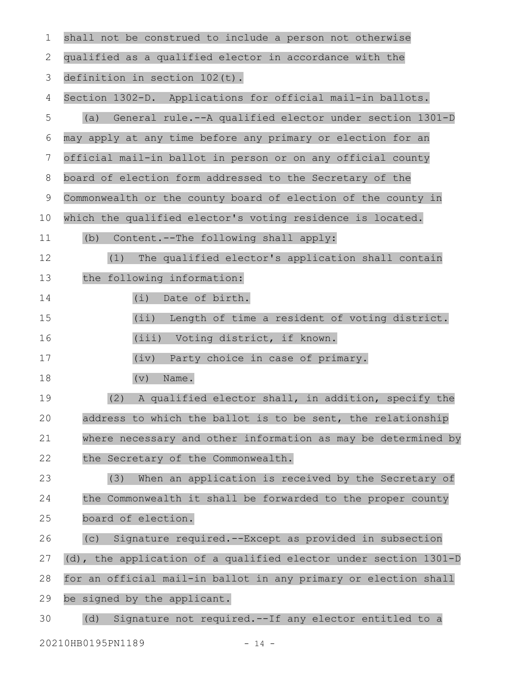| $\mathbf 1$       | shall not be construed to include a person not otherwise         |
|-------------------|------------------------------------------------------------------|
| $\mathbf{2}$      | qualified as a qualified elector in accordance with the          |
| 3                 | definition in section 102(t).                                    |
| 4                 | Section 1302-D. Applications for official mail-in ballots.       |
| 5<br>(a)          | General rule.--A qualified elector under section 1301-D          |
| 6                 | may apply at any time before any primary or election for an      |
| 7                 | official mail-in ballot in person or on any official county      |
| 8                 | board of election form addressed to the Secretary of the         |
| 9                 | Commonwealth or the county board of election of the county in    |
| 10                | which the qualified elector's voting residence is located.       |
| (b)<br>11         | Content.--The following shall apply:                             |
| 12                | (1)<br>The qualified elector's application shall contain         |
| 13                | the following information:                                       |
| 14                | (i)<br>Date of birth.                                            |
| 15                | (i)<br>Length of time a resident of voting district.             |
| 16                | (iii) Voting district, if known.                                 |
| 17                | Party choice in case of primary.<br>(iv)                         |
| 18                | (v)<br>Name.                                                     |
| 19                | (2)<br>A qualified elector shall, in addition, specify the       |
| 20                | address to which the ballot is to be sent, the relationship      |
| 21                | where necessary and other information as may be determined by    |
| 22                | the Secretary of the Commonwealth.                               |
| 23                | When an application is received by the Secretary of<br>(3)       |
| 24                | the Commonwealth it shall be forwarded to the proper county      |
| 25                | board of election.                                               |
| 26<br>(C)         | Signature required.--Except as provided in subsection            |
| 27                | (d), the application of a qualified elector under section 1301-D |
| 28                | for an official mail-in ballot in any primary or election shall  |
| 29                | be signed by the applicant.                                      |
| 30<br>(d)         | Signature not required.--If any elector entitled to a            |
| 20210HB0195PN1189 | $-14 -$                                                          |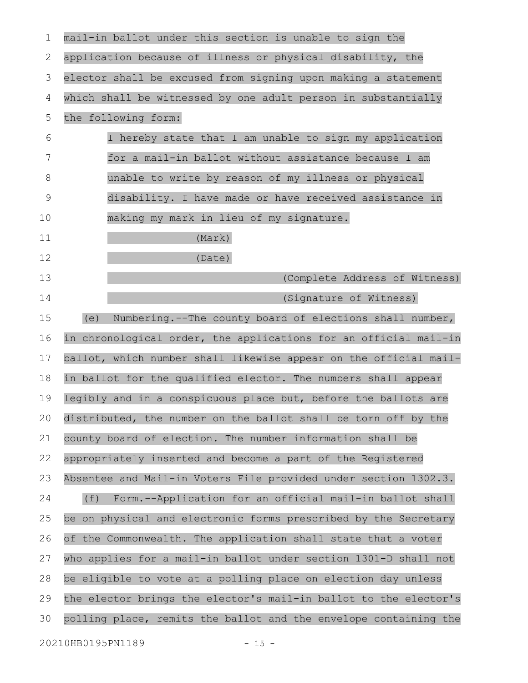| 1             | mail-in ballot under this section is unable to sign the          |
|---------------|------------------------------------------------------------------|
| 2             | application because of illness or physical disability, the       |
| 3             | elector shall be excused from signing upon making a statement    |
| 4             | which shall be witnessed by one adult person in substantially    |
| 5             | the following form:                                              |
| 6             | I hereby state that I am unable to sign my application           |
| 7             | for a mail-in ballot without assistance because I am             |
| 8             | unable to write by reason of my illness or physical              |
| $\mathcal{G}$ | disability. I have made or have received assistance in           |
| 10            | making my mark in lieu of my signature.                          |
| 11            | (Mark)                                                           |
| 12            | (Date)                                                           |
| 13            | (Complete Address of Witness)                                    |
| 14            | (Signature of Witness)                                           |
| 15            | Numbering.--The county board of elections shall number,<br>(e)   |
| 16            | in chronological order, the applications for an official mail-in |
| 17            | ballot, which number shall likewise appear on the official mail- |
| 18            | in ballot for the qualified elector. The numbers shall appear    |
| 19            | legibly and in a conspicuous place but, before the ballots are   |
| 20            | distributed, the number on the ballot shall be torn off by the   |
| 21            | county board of election. The number information shall be        |
| 22            | appropriately inserted and become a part of the Registered       |
| 23            | Absentee and Mail-in Voters File provided under section 1302.3.  |
| 24            | Form.--Application for an official mail-in ballot shall<br>(f)   |
| 25            | be on physical and electronic forms prescribed by the Secretary  |
| 26            | of the Commonwealth. The application shall state that a voter    |
| 27            | who applies for a mail-in ballot under section 1301-D shall not  |
| 28            | be eligible to vote at a polling place on election day unless    |
| 29            | the elector brings the elector's mail-in ballot to the elector's |
| 30            | polling place, remits the ballot and the envelope containing the |
|               | 20210HB0195PN1189<br>$-15 -$                                     |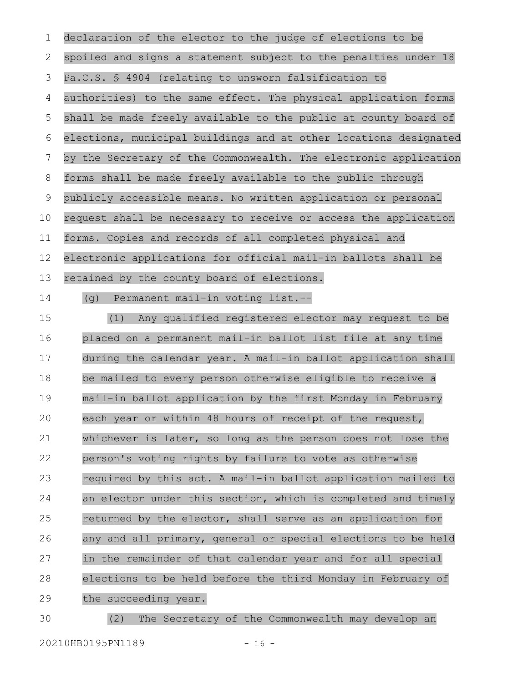declaration of the elector to the judge of elections to be spoiled and signs a statement subject to the penalties under 18 Pa.C.S. § 4904 (relating to unsworn falsification to authorities) to the same effect. The physical application forms shall be made freely available to the public at county board of elections, municipal buildings and at other locations designated by the Secretary of the Commonwealth. The electronic application forms shall be made freely available to the public through publicly accessible means. No written application or personal request shall be necessary to receive or access the application forms. Copies and records of all completed physical and electronic applications for official mail-in ballots shall be retained by the county board of elections. 1 2 3 4 5 6 7 8 9 10 11 12 13

14

(g) Permanent mail-in voting list.--

(1) Any qualified registered elector may request to be placed on a permanent mail-in ballot list file at any time during the calendar year. A mail-in ballot application shall be mailed to every person otherwise eligible to receive a mail-in ballot application by the first Monday in February each year or within 48 hours of receipt of the request, whichever is later, so long as the person does not lose the person's voting rights by failure to vote as otherwise required by this act. A mail-in ballot application mailed to an elector under this section, which is completed and timely returned by the elector, shall serve as an application for any and all primary, general or special elections to be held in the remainder of that calendar year and for all special elections to be held before the third Monday in February of the succeeding year. 15 16 17 18 19 20 21 22 23 24 25 26 27 28 29

(2) The Secretary of the Commonwealth may develop an 20210HB0195PN1189 - 16 -30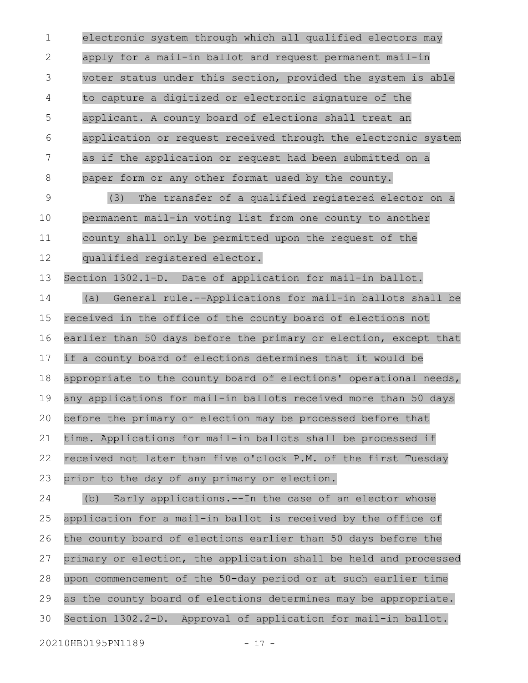electronic system through which all qualified electors may apply for a mail-in ballot and request permanent mail-in voter status under this section, provided the system is able to capture a digitized or electronic signature of the applicant. A county board of elections shall treat an application or request received through the electronic system as if the application or request had been submitted on a paper form or any other format used by the county. (3) The transfer of a qualified registered elector on a permanent mail-in voting list from one county to another county shall only be permitted upon the request of the qualified registered elector. Section 1302.1-D. Date of application for mail-in ballot. (a) General rule.--Applications for mail-in ballots shall be received in the office of the county board of elections not earlier than 50 days before the primary or election, except that if a county board of elections determines that it would be appropriate to the county board of elections' operational needs, any applications for mail-in ballots received more than 50 days before the primary or election may be processed before that time. Applications for mail-in ballots shall be processed if received not later than five o'clock P.M. of the first Tuesday prior to the day of any primary or election. (b) Early applications.--In the case of an elector whose application for a mail-in ballot is received by the office of the county board of elections earlier than 50 days before the primary or election, the application shall be held and processed upon commencement of the 50-day period or at such earlier time as the county board of elections determines may be appropriate. Section 1302.2-D. Approval of application for mail-in ballot. 1 2 3 4 5 6 7 8 9 10 11 12 13 14 15 16 17 18 19 20 21 22 23 24 25 26 27 28 29 30

20210HB0195PN1189 - 17 -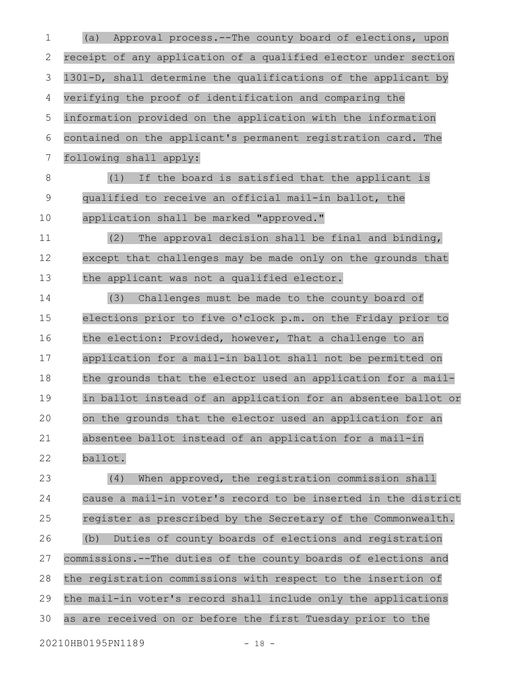(a) Approval process.--The county board of elections, upon receipt of any application of a qualified elector under section 1301-D, shall determine the qualifications of the applicant by verifying the proof of identification and comparing the information provided on the application with the information contained on the applicant's permanent registration card. The following shall apply: (1) If the board is satisfied that the applicant is qualified to receive an official mail-in ballot, the application shall be marked "approved." (2) The approval decision shall be final and binding, except that challenges may be made only on the grounds that the applicant was not a qualified elector. (3) Challenges must be made to the county board of elections prior to five o'clock p.m. on the Friday prior to the election: Provided, however, That a challenge to an application for a mail-in ballot shall not be permitted on the grounds that the elector used an application for a mailin ballot instead of an application for an absentee ballot or on the grounds that the elector used an application for an absentee ballot instead of an application for a mail-in ballot. (4) When approved, the registration commission shall cause a mail-in voter's record to be inserted in the district register as prescribed by the Secretary of the Commonwealth. (b) Duties of county boards of elections and registration 1 2 3 4 5 6 7 8 9 10 11 12 13 14 15 16 17 18 19 20 21 22 23 24 25 26

commissions.--The duties of the county boards of elections and the registration commissions with respect to the insertion of the mail-in voter's record shall include only the applications as are received on or before the first Tuesday prior to the 27 28 29 30

20210HB0195PN1189 - 18 -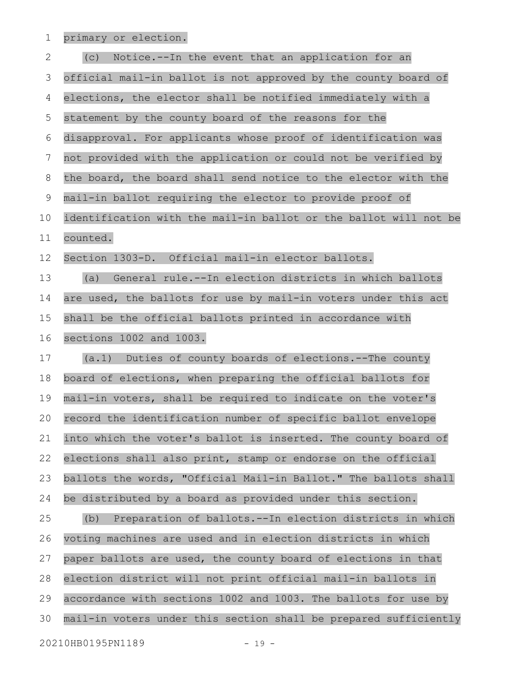primary or election. 1

| 2  | Notice.--In the event that an application for an<br>(c)          |
|----|------------------------------------------------------------------|
| 3  | official mail-in ballot is not approved by the county board of   |
| 4  | elections, the elector shall be notified immediately with a      |
| 5  | statement by the county board of the reasons for the             |
| 6  | disapproval. For applicants whose proof of identification was    |
| 7  | not provided with the application or could not be verified by    |
| 8  | the board, the board shall send notice to the elector with the   |
| 9  | mail-in ballot requiring the elector to provide proof of         |
| 10 | identification with the mail-in ballot or the ballot will not be |
| 11 | counted.                                                         |
| 12 | Section 1303-D. Official mail-in elector ballots.                |
| 13 | General rule.--In election districts in which ballots<br>(a)     |
| 14 | are used, the ballots for use by mail-in voters under this act   |
| 15 | shall be the official ballots printed in accordance with         |
| 16 | sections 1002 and 1003.                                          |
| 17 | (a.1) Duties of county boards of elections.--The county          |
| 18 | board of elections, when preparing the official ballots for      |
| 19 | mail-in voters, shall be required to indicate on the voter's     |
| 20 | record the identification number of specific ballot envelope     |
| 21 | into which the voter's ballot is inserted. The county board of   |
| 22 | elections shall also print, stamp or endorse on the official     |
| 23 | ballots the words, "Official Mail-in Ballot." The ballots shall  |
| 24 | be distributed by a board as provided under this section.        |
| 25 | (b) Preparation of ballots.--In election districts in which      |
| 26 | voting machines are used and in election districts in which      |
| 27 | paper ballots are used, the county board of elections in that    |
| 28 | election district will not print official mail-in ballots in     |
| 29 | accordance with sections 1002 and 1003. The ballots for use by   |
| 30 | mail-in voters under this section shall be prepared sufficiently |
|    | 20210HB0195PN1189<br>$-19 -$                                     |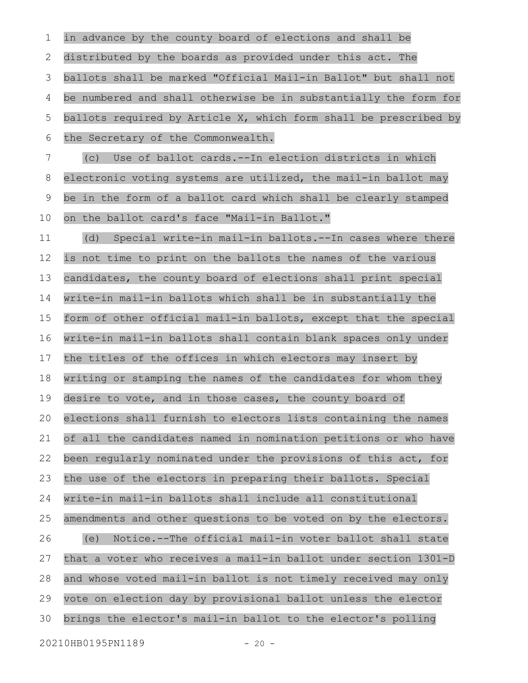in advance by the county board of elections and shall be distributed by the boards as provided under this act. The ballots shall be marked "Official Mail-in Ballot" but shall not be numbered and shall otherwise be in substantially the form for ballots required by Article X, which form shall be prescribed by the Secretary of the Commonwealth. 1 2 3 4 5 6

(c) Use of ballot cards.--In election districts in which electronic voting systems are utilized, the mail-in ballot may be in the form of a ballot card which shall be clearly stamped on the ballot card's face "Mail-in Ballot." 7 8 9 10

(d) Special write-in mail-in ballots.--In cases where there is not time to print on the ballots the names of the various candidates, the county board of elections shall print special write-in mail-in ballots which shall be in substantially the form of other official mail-in ballots, except that the special write-in mail-in ballots shall contain blank spaces only under the titles of the offices in which electors may insert by writing or stamping the names of the candidates for whom they desire to vote, and in those cases, the county board of elections shall furnish to electors lists containing the names of all the candidates named in nomination petitions or who have been regularly nominated under the provisions of this act, for the use of the electors in preparing their ballots. Special write-in mail-in ballots shall include all constitutional amendments and other questions to be voted on by the electors. (e) Notice.--The official mail-in voter ballot shall state that a voter who receives a mail-in ballot under section 1301-D and whose voted mail-in ballot is not timely received may only vote on election day by provisional ballot unless the elector brings the elector's mail-in ballot to the elector's polling 11 12 13 14 15 16 17 18 19 20 21 22 23 24 25 26 27 28 29 30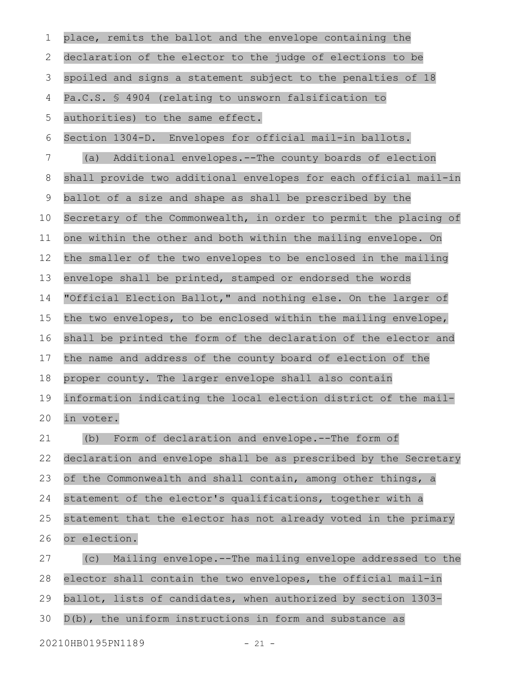| 1  | place, remits the ballot and the envelope containing the         |
|----|------------------------------------------------------------------|
| 2  | declaration of the elector to the judge of elections to be       |
| 3  | spoiled and signs a statement subject to the penalties of 18     |
| 4  | Pa.C.S. § 4904 (relating to unsworn falsification to             |
| 5  | authorities) to the same effect.                                 |
| 6  | Section 1304-D. Envelopes for official mail-in ballots.          |
| 7  | (a)<br>Additional envelopes. -- The county boards of election    |
| 8  | shall provide two additional envelopes for each official mail-in |
| 9  | ballot of a size and shape as shall be prescribed by the         |
| 10 | Secretary of the Commonwealth, in order to permit the placing of |
| 11 | one within the other and both within the mailing envelope. On    |
| 12 | the smaller of the two envelopes to be enclosed in the mailing   |
| 13 | envelope shall be printed, stamped or endorsed the words         |
| 14 | "Official Election Ballot," and nothing else. On the larger of   |
| 15 | the two envelopes, to be enclosed within the mailing envelope,   |
| 16 | shall be printed the form of the declaration of the elector and  |
| 17 | the name and address of the county board of election of the      |
| 18 | proper county. The larger envelope shall also contain            |
| 19 | information indicating the local election district of the mail-  |
| 20 | in voter.                                                        |
| 21 | Form of declaration and envelope. -- The form of<br>(b)          |
| 22 | declaration and envelope shall be as prescribed by the Secretary |
| 23 | of the Commonwealth and shall contain, among other things, a     |
| 24 | statement of the elector's qualifications, together with a       |
| 25 | statement that the elector has not already voted in the primary  |
| 26 | or election.                                                     |
| 27 | Mailing envelope.--The mailing envelope addressed to the<br>(c)  |
| 28 | elector shall contain the two envelopes, the official mail-in    |
| 29 | ballot, lists of candidates, when authorized by section 1303-    |
| 30 | D(b), the uniform instructions in form and substance as          |
|    |                                                                  |

20210HB0195PN1189 - 21 -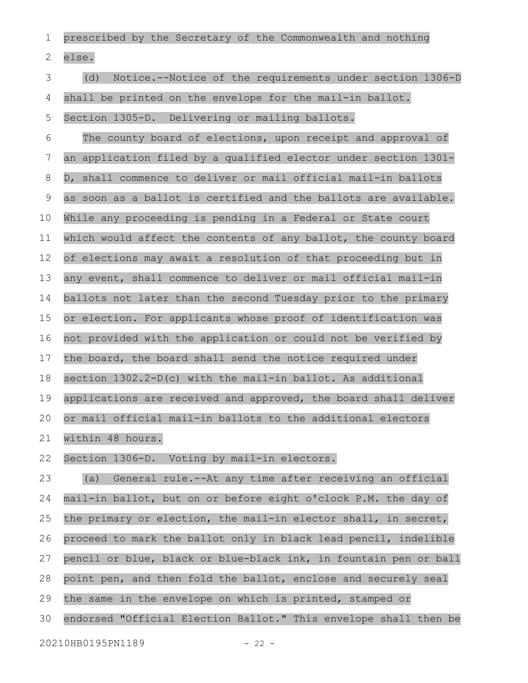prescribed by the Secretary of the Commonwealth and nothing else. (d) Notice.--Notice of the requirements under section 1306-D shall be printed on the envelope for the mail-in ballot. Section 1305-D. Delivering or mailing ballots. The county board of elections, upon receipt and approval of an application filed by a qualified elector under section 1301- D, shall commence to deliver or mail official mail-in ballots as soon as a ballot is certified and the ballots are available. While any proceeding is pending in a Federal or State court which would affect the contents of any ballot, the county board of elections may await a resolution of that proceeding but in any event, shall commence to deliver or mail official mail-in ballots not later than the second Tuesday prior to the primary or election. For applicants whose proof of identification was not provided with the application or could not be verified by the board, the board shall send the notice required under section 1302.2-D(c) with the mail-in ballot. As additional applications are received and approved, the board shall deliver or mail official mail-in ballots to the additional electors within 48 hours. 1 2 3 4 5 6 7 8 9 10 11 12 13 14 15 16 17 18 19 20 21

Section 1306-D. Voting by mail-in electors. 22

(a) General rule.--At any time after receiving an official mail-in ballot, but on or before eight o'clock P.M. the day of the primary or election, the mail-in elector shall, in secret, proceed to mark the ballot only in black lead pencil, indelible pencil or blue, black or blue-black ink, in fountain pen or ball point pen, and then fold the ballot, enclose and securely seal the same in the envelope on which is printed, stamped or endorsed "Official Election Ballot." This envelope shall then be 23 24 25 26 27 28 29 30

20210HB0195PN1189 - 22 -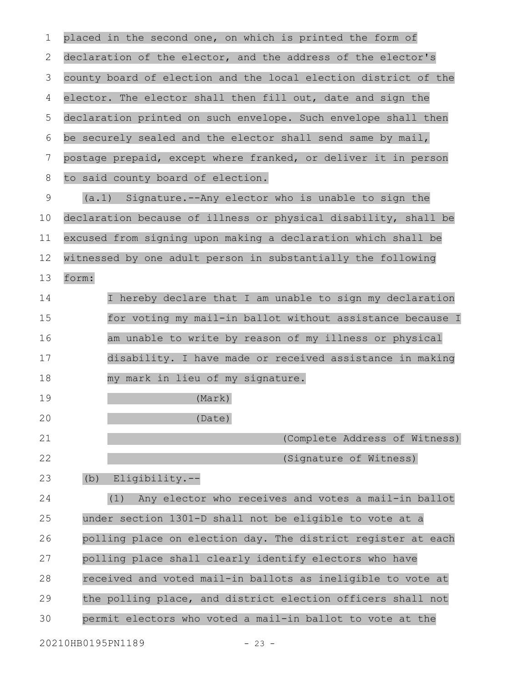placed in the second one, on which is printed the form of declaration of the elector, and the address of the elector's county board of election and the local election district of the elector. The elector shall then fill out, date and sign the declaration printed on such envelope. Such envelope shall then be securely sealed and the elector shall send same by mail, postage prepaid, except where franked, or deliver it in person to said county board of election. (a.1) Signature.--Any elector who is unable to sign the declaration because of illness or physical disability, shall be excused from signing upon making a declaration which shall be witnessed by one adult person in substantially the following form: I hereby declare that I am unable to sign my declaration for voting my mail-in ballot without assistance because I am unable to write by reason of my illness or physical disability. I have made or received assistance in making my mark in lieu of my signature. (Mark) (Date) (Complete Address of Witness) (Signature of Witness) (b) Eligibility.-- (1) Any elector who receives and votes a mail-in ballot under section 1301-D shall not be eligible to vote at a polling place on election day. The district register at each polling place shall clearly identify electors who have received and voted mail-in ballots as ineligible to vote at the polling place, and district election officers shall not permit electors who voted a mail-in ballot to vote at the 1 2 3 4 5 6 7 8 9 10 11 12 13 14 15 16 17 18 19 20 21 22 23 24 25 26 27 28 29 30

20210HB0195PN1189 - 23 -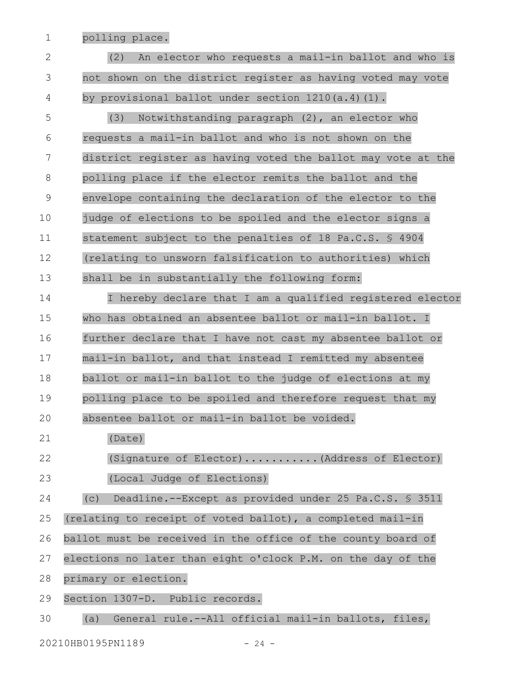polling place. 1

(2) An elector who requests a mail-in ballot and who is not shown on the district register as having voted may vote by provisional ballot under section 1210(a.4)(1). (3) Notwithstanding paragraph (2), an elector who requests a mail-in ballot and who is not shown on the district register as having voted the ballot may vote at the polling place if the elector remits the ballot and the envelope containing the declaration of the elector to the judge of elections to be spoiled and the elector signs a statement subject to the penalties of 18 Pa.C.S. § 4904 (relating to unsworn falsification to authorities) which shall be in substantially the following form: I hereby declare that I am a qualified registered elector who has obtained an absentee ballot or mail-in ballot. I further declare that I have not cast my absentee ballot or mail-in ballot, and that instead I remitted my absentee ballot or mail-in ballot to the judge of elections at my polling place to be spoiled and therefore request that my absentee ballot or mail-in ballot be voided. (Date) (Signature of Elector)...........(Address of Elector) (Local Judge of Elections) (c) Deadline.--Except as provided under 25 Pa.C.S. § 3511 (relating to receipt of voted ballot), a completed mail-in ballot must be received in the office of the county board of elections no later than eight o'clock P.M. on the day of the primary or election. Section 1307-D. Public records. (a) General rule.--All official mail-in ballots, files, 2 3 4 5 6 7 8 9 10 11 12 13 14 15 16 17 18 19 20 21 22 23 24 25 26 27 28 29 30

20210HB0195PN1189 - 24 -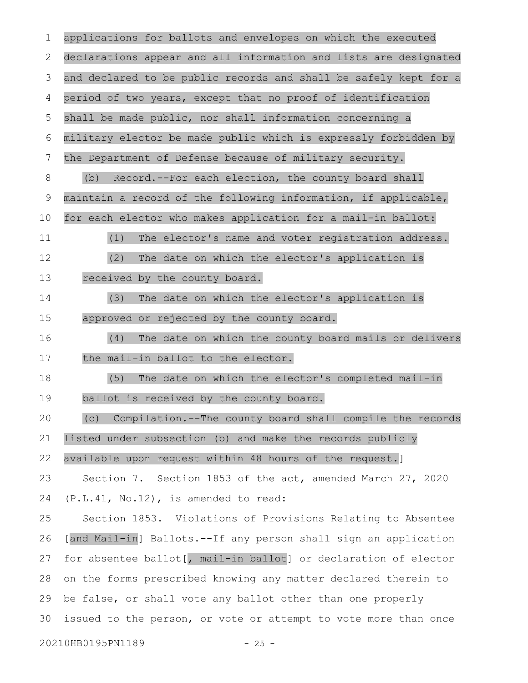applications for ballots and envelopes on which the executed declarations appear and all information and lists are designated and declared to be public records and shall be safely kept for a period of two years, except that no proof of identification shall be made public, nor shall information concerning a military elector be made public which is expressly forbidden by the Department of Defense because of military security. (b) Record.--For each election, the county board shall maintain a record of the following information, if applicable, for each elector who makes application for a mail-in ballot: (1) The elector's name and voter registration address. (2) The date on which the elector's application is received by the county board. (3) The date on which the elector's application is approved or rejected by the county board. (4) The date on which the county board mails or delivers the mail-in ballot to the elector. (5) The date on which the elector's completed mail-in ballot is received by the county board. (c) Compilation.--The county board shall compile the records listed under subsection (b) and make the records publicly available upon request within 48 hours of the request.] Section 7. Section 1853 of the act, amended March 27, 2020 (P.L.41, No.12), is amended to read: Section 1853. Violations of Provisions Relating to Absentee [and Mail-in] Ballots.--If any person shall sign an application for absentee ballot[, mail-in ballot] or declaration of elector on the forms prescribed knowing any matter declared therein to be false, or shall vote any ballot other than one properly issued to the person, or vote or attempt to vote more than once 20210HB0195PN1189 - 25 -1 2 3 4 5 6 7 8 9 10 11 12 13 14 15 16 17 18 19 20 21 22 23 24 25 26 27 28 29 30